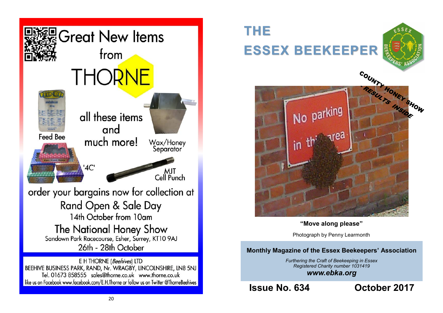

Tel. 01673 858555 sales@thorne.co.uk www.thorne.co.uk like us on Facebook www.facebook.com/E.H.Thorne or follow us on Twitter @ThorneBeehives

## **THE ESSEX BEEKEEPER**





**"Move along please"**

Photograph by Penny Learmonth

## **Monthly Magazine of the Essex Beekeepers' Association**

*Furthering the Craft of Beekeeping in Essex Registered Charity number 1031419 www.ebka.org*

**Issue No. 634 October 2017**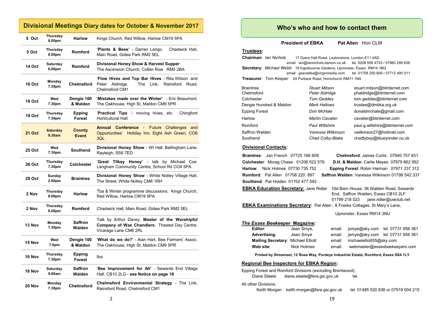|               | Divisional Meetings Diary dates for October & November 2017 |                               |                                                                                                                                 |  |  |  |  |
|---------------|-------------------------------------------------------------|-------------------------------|---------------------------------------------------------------------------------------------------------------------------------|--|--|--|--|
| 5 Oct         | Thursday<br>8.00pm                                          | <b>Harlow</b>                 | Kings Church, Red Willow, Harlow CM19 5PA                                                                                       |  |  |  |  |
| 5 Oct         | Thursday<br>8.00pm                                          | <b>Romford</b>                | 'Plants & Bees' - Darren Lerigo.<br>Chadwick Hall,<br>Main Road, Gidea Park RM2 5EL                                             |  |  |  |  |
| 14 Oct        | Saturday<br>6.00pm                                          | <b>Romford</b>                | Divisional Honey Show & Harvest Supper.<br>The Ascension Church, Collier Row RM5 2BA                                            |  |  |  |  |
| 16 Oct        | Monday<br>7.30pm                                            | <b>Chelmsford</b>             | 'Flow Hives and Top Bar Hives - Rita Wilson and<br>Peter Aldridge.<br>The<br>Link,<br>Rainsford<br>Road,<br>Chelmsford CM1      |  |  |  |  |
| 18 Oct        | Wed<br>7.30pm                                               | Dengie 100<br>& Maldon        | 'Mistakes made over the Winter' - Eric Beaumont.<br>The Oakhouse, High St, Maldon CM9 5PR                                       |  |  |  |  |
| 19 Oct        | Thursday<br>7.30pm                                          | Epping<br><b>Forest</b>       | <b>Practical Tips</b> '- moving hives, etc.<br>Chingford<br><b>Horticultural Hall</b>                                           |  |  |  |  |
| <b>21 Oct</b> | <b>Saturday</b><br>9.30am                                   | <b>County</b><br><b>Event</b> | Annual<br><b>Conference</b> - 'Future Challenges and<br>Opportunities' Holiday Inn, Eight Ash Green, CO6<br>3QL                 |  |  |  |  |
| <b>25 Oct</b> | Wed<br>7.30pm                                               | Southend                      | Divisional Honey Show - WI Hall, Bellingham Lane,<br>Rayleigh, SS6 7ED                                                          |  |  |  |  |
| <b>26 Oct</b> | Thursday<br>7.30pm                                          | <b>Colchester</b>             | 'Great Tilkey Honey' - talk by Michael Coe.<br>Langham Community Centre, School Rd CO4 5PA                                      |  |  |  |  |
| <b>29 Oct</b> | Sunday<br>2.00pm                                            | <b>Braintree</b>              | Divisional Honey Show - White Notley Village Hall,<br>The Street, White Notley CM8 1RH                                          |  |  |  |  |
| 2 Nov         | Thursday<br>8.00pm                                          | <b>Harlow</b>                 | Tba & Winter programme discussions. Kings Church,<br>Red Willow, Harlow CM19 5PA                                                |  |  |  |  |
| 2 Nov         | Thursday<br>8.00pm                                          | <b>Romford</b>                | Chadwick Hall, Main Road, Gidea Park RM2 5EL                                                                                    |  |  |  |  |
| 13 Nov        | Monday<br>7.30pm                                            | <b>Saffron</b><br>Walden      | Talk by Arthur Davey, Master of the Worshipful<br><b>Company of Wax Chandlers.</b> Thaxted Day Centre,<br>Vicarage Lane CM6 2RL |  |  |  |  |
| 15 Nov        | Wed<br>7.0pm                                                | Dengie 100<br>& Maldon        | 'What do we do?' - Alan Hart, Bee Farmers' Assoc.<br>The Oakhouse, High St, Maldon CM9 5PR                                      |  |  |  |  |
| 16 Nov        | Thursday<br>7.30pm                                          | Epping<br>Forest              | tba                                                                                                                             |  |  |  |  |
| 18 Nov        | Saturday<br>9.00am                                          | <b>Saffron</b><br>Walden      | 'Bee Improvement for All' - Sewards End Village<br>Hall, CB10 2LG - see Notice on page 18                                       |  |  |  |  |
| 20 Nov        | Monday<br>7.30pm                                            | <b>Chelmsford</b>             | <b>Chelmsford Environmental Strategy - The Link,</b><br>Rainsford Road, Chelmsford CM1                                          |  |  |  |  |

### **Who's who and how to contact them**

**President of EBKA** Pat Allen Hon CLM

#### **Trustees:**

**Chairman**: *Ian Nichols* 17 Dyers Hall Road, Leytonstone, London E11 4AD email ian@iannichols.demon.co.uk tel. 0208 558 4733 / 07980 299 638 **Secretary**: *Michael Webb* 19 Ingrebourne Gardens, Upminster, Essex RM14 1BQ email gsecebka@virginmedia.com tel. 01708 250 606 / 07712 490 511 **Treasurer**: *Tom Keeper* 24 Purbeck Road, Hornchurch RM11 1NA

| <b>Braintree</b>        | <b>Stuart Mitson</b>   | stuart.mitson@btinternet.com    |
|-------------------------|------------------------|---------------------------------|
| Chelmsford              | Peter Aldridge         | phaldridge@btinternet.com       |
| Colchester              | <b>Tom Geddes</b>      | tom.geddes@btinternet.com       |
| Dengie Hundred & Maldon | Mark Hallows           | trustee@dmbka.org.uk            |
| Epping Forest           | Don McHale             | donaldmchale@gmail.com          |
| Harlow                  | <b>Martin Cavalier</b> | cavalier@btinternet.com         |
| Romford                 | <b>Paul Wiltshire</b>  | paul.g.wiltshire@btinternet.com |
| Saffron Walden          | Vanessa Wilkinson      | vwilkinson27@hotmail.com        |
| Southend                | Chad Colby-Blake       | chadlyboy@blueyonder.co.uk      |

#### **Divisional Contacts:**

**Braintree**: Jan French 07725 166 609 **Chelmsford**: James Curtis 07940 757 831 **Colchester**: Morag Chase 01206 522 576 **D.H. & Maldon**: Carlie Mayes 07979 862 952 **Harlow**: Nick Holmes 07730 735 752 **Epping Forest**: Robin Harman 07971 237 312 **Romford:** Pat Allen 01708 220 897 **Saffron Walden**: Vanessa Wilkinson 01799 542 337 **Southend**: Pat Holden 01702 477 592 **EBKA Education Secretary:** Jane Ridler Old Barn House, 36 Walden Road, Sewards End, Saffron Walden, Essex CB10 2LF 01799 218 023 jane.ridler@uwclub.net **EBKA Examinations Secretary:** Pat Allen , 8 Franks Cottages, St Mary's Lane, Upminster, Essex RM14 3NU *The Essex Beekeeper* **Magazine: Editor**: Jean Smye, email: jsmye@sky.com tel. 07731 856 361 **Advertising**: Jean Smye email: jsmye@sky.com tel. 07731 856 361 **Mailing Secretary:** Michael Elliott email: michaelelliott55@sky.com **Web site**: Nick Holmes email: webmaster@essexbeekeepers.com **Printed by Streamset, 12 Rose Way, Purdeys Industrial Estate, Rochford, Essex SS4 1LY Regional Bee Inspectors for EBKA Region:** Epping Forest and Romford Divisions (excluding Brentwood): Diane Steele diane.steele@fera.gsi.gov.uk tel. All other Divisions: Keith Morgan keith.morgan@fera.gsi.gov.uk tel. 01485 520 838 or 07919 004 215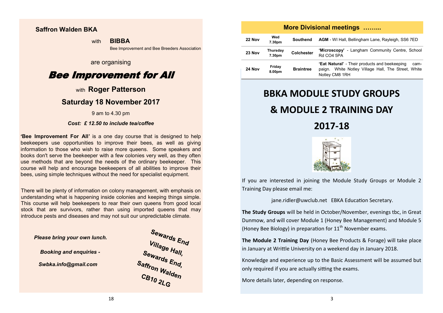### **Saffron Walden BKA**

with **BIBBA** 

Bee Improvement and Bee Breeders Association

## are organising

## Bee Improvement for All

## with **Roger Patterson**

## **Saturday 18 November 2017**

9 am to 4.30 pm

#### *Cost: £ 12.50 to include tea/coffee*

**'Bee Improvement For All'** is a one day course that is designed to help beekeepers use opportunities to improve their bees, as well as giving information to those who wish to raise more queens. Some speakers and books don't serve the beekeeper with a few colonies very well, as they often use methods that are beyond the needs of the ordinary beekeeper. This course will help and encourage beekeepers of all abilities to improve their bees, using simple techniques without the need for specialist equipment.

There will be plenty of information on colony management, with emphasis on understanding what is happening inside colonies and keeping things simple. This course will help beekeepers to rear their own queens from good local stock that are survivors, rather than using imported queens that may introduce pests and diseases and may not suit our unpredictable climate.

 *Please bring your own lunch.*

*Booking and enquiries -*

*Swbka.info@gmail.com*



|                                                   |                  |                  | <b>More Divisional meetings </b>                                                                                               |
|---------------------------------------------------|------------------|------------------|--------------------------------------------------------------------------------------------------------------------------------|
| 22 Nov                                            | Wed<br>7.30pm    | Southend         | <b>AGM</b> - WI Hall, Bellingham Lane, Rayleigh, SS6 7ED                                                                       |
| Thursday<br>23 Nov<br><b>Colchester</b><br>7.30pm |                  |                  | 'Microscopy' - Langham Community Centre, School<br><b>Rd CO4 5PA</b>                                                           |
| 24 Nov                                            | Friday<br>8.00pm | <b>Braintree</b> | 'Eat Natural' - Their products and beekeeping<br>cam-<br>paign. White Notley Village Hall, The Street, White<br>Notley CM8 1RH |

## **BBKA MODULE STUDY GROUPS**

## **& MODULE 2 TRAINING DAY**

**2017-18**



If you are interested in joining the Module Study Groups or Module 2 Training Day please email me:

[jane.ridler@uwclub.net](mailto:jane.ridler@uwclub.net) EBKA Education Secretary.

**The Study Groups** will be held in October/November, evenings tbc, in Great Dunmow, and will cover Module 1 (Honey Bee Management) and Module 5 (Honey Bee Biology) in preparation for  $11<sup>th</sup>$  November exams.

**The Module 2 Training Day** (Honey Bee Products & Forage) will take place in January at Writtle University on a weekend day in January 2018.

Knowledge and experience up to the Basic Assessment will be assumed but only required if you are actually sitting the exams.

More details later, depending on response.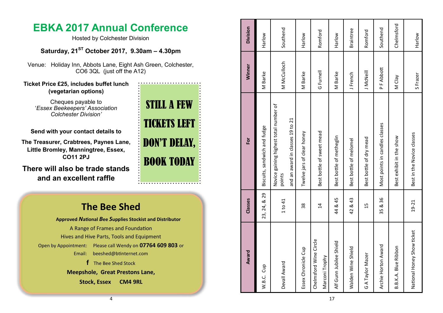## **EBKA 2017 Annual Conference**

Hosted by Colchester Division

**Saturday, 21ST October 2017, 9.30am – 4.30pm**

Venue: Holiday Inn, Abbots Lane, Eight Ash Green, Colchester, CO6 3QL (just off the A12)

**Ticket Price £25, includes buffet lunch (vegetarian options)**

> Cheques payable to '*Essex Beekeepers' Association Colchester Division '*

**Send with your contact details to** 

**The Treasurer, Crabtrees, Paynes Lane, Little Bromley, Manningtree, Essex, CO11 2PJ**

**There will also be trade stands and an excellent raffle**

## **The Bee Shed**

**Approved**  *N***ational**  *B***ee**  *S***upplies Stockist and Distributor** A Range of Frames and Foundation Hives and Hive Parts, Tools and Equipment Open by Appointment: Please call Wendy on **07764 609 803** or Email: [beeshed@btinternet.com](mailto:beeshed@btinternet.com) **f** The Bee Shed Stock **Meepshole, Great Prestons Lane,** 

**Stock, Essex CM4 9RL**

# STILL A FEW TICKETS LEFT DON'T DELAY, BOOK TODAY

| Award                                    | Classes        | For                                                                                  | Winner          | <b>Division</b>  |
|------------------------------------------|----------------|--------------------------------------------------------------------------------------|-----------------|------------------|
| W.B.C. Cup                               | 23, 24, & 29   | Biscuits, sandwich and fudge                                                         | M Barke         | Harlow           |
| Devall Award                             | 1 to 41        | Novice gaining highest total number of<br>and an award in classes 19 to 21<br>points | M McCulloch     | Southend         |
| Essex Chronicle Cup                      | 38             | Twelve jars of clear honey                                                           | M Barke         | Harlow           |
| Chelmsford Wine Circle<br>Marconi Trophy | $\overline{4}$ | Best bottle of sweet mead                                                            | G Furnell       | Romford          |
| Alf Gunn Jubilee Shield                  | 44 & 45        | Best bottle of metheglin                                                             | M Barke         | Harlow           |
| Walden Wine Shield                       | 42 & 43        | Best bottle of melomel                                                               | <b>J</b> French | <b>Braintree</b> |
| G A Taylor Mazer                         | 15             | Best bottle of dry mead                                                              | J McNeil        | Romford          |
| Archie Horton Award                      | 35 & 36        | Most points in candles classes                                                       | PF Abbott       | Southend         |
| B.B.K.A. Blue Ribbon                     |                | Best exhibit in the show                                                             | M Clay          | Chelmsford       |
| National Honey Show ticket               | $19 - 21$      | Best in the Novice classes                                                           | S Frazer        | Harlow           |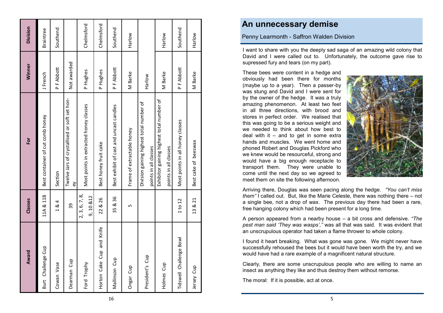| Award                     | Classes                   | For                                                                | Winner      | Division         |
|---------------------------|---------------------------|--------------------------------------------------------------------|-------------|------------------|
| Burt Challenge Cup        | 11A & 11B                 | Best container of cut comb honey                                   | J French    | <b>Braintree</b> |
| Cowan Vase                | 1&4                       | Section                                                            | PF Abbott   | Southend         |
| Dearman Cup               | 39                        | Twelve Jars of crystallised or soft set hon-<br>ěγ                 | Not awarded |                  |
| Ford Trophy               | 2, 3, 6, 7, 8<br>9,10 &12 | Most points in extracted honey classes                             | P Hughes    | Chelmsford       |
| Horton Cake Cup and Knife | 22 & 26                   | Best honey fruit cake                                              | P Hughes    | Chelmsford       |
| Mallinson Cup             | 35 & 36                   | Best exhibit of cast and uncast candles                            | PF Abbott   | Southend         |
| Ongar Cup                 | Ь٥                        | Frame of extractable honey                                         | M Barke     | Harlow           |
| President's Cup           |                           | Division gaining highest total number of<br>points in all classes  | Harlow      |                  |
| Holmes Cup                |                           | Exhibitor gaining highest total number of<br>points in all classes | M Barke     | Harlow           |
| Tidswell Challenge Bowl   | 1 to 12                   | Most points in all honey classes                                   | PF Abbott   | Southend         |
| Jersey Cup                | 13 & 21                   | Best cake of beeswax                                               | M Barke     | Harlow           |
|                           |                           |                                                                    |             |                  |

## **An unnecessary demise**

Penny Learmonth - Saffron Walden Division

I want to share with you the deeply sad saga of an amazing wild colony that David and I were called out to. Unfortunately, the outcome gave rise to supressed fury and tears (on my part).

These bees were content in a hedge and obviously had been there for months (maybe up to a year). Then a passer -by was stung and David and I were sent for by the owner of the hedge. It was a truly amazing phenomenon. At least two feet in all three directions, with brood and stores in perfect order. We realised that this was going to be a serious weight and we needed to think about how best to deal with it – and to get in some extra hands and muscles. We went home and phoned Robert and Douglas Pickford who we knew would be resourceful, strong and would have a big enough receptacle to transport them. They were unable to come until the next day so we agreed to meet them on site the following afternoon.



Arriving there, Douglas was seen pacing along the hedge. *"You can 't miss them"* I called out. But, like the Marie Celeste, there was nothing there – not a single bee, not a drop of wax. The previous day there had been a rare, free hanging colony which had been present for a long time.

A person appeared from a nearby house – a bit cross and defensive. *"The pest man said 'They was wasps',"* was all that was said. It was evident that an unscrupulous operator had taken a flame thrower to whole colony.

I found it heart breaking. What was gone was gone. We might never have successfully rehoused the bees but it would have been worth the try, and we would have had a rare example of a magnificent natural structure.

Clearly, there are some unscrupulous people who are willing to name an insect as anything they like and thus destroy them without remorse.

The moral: If it is possible, act at once.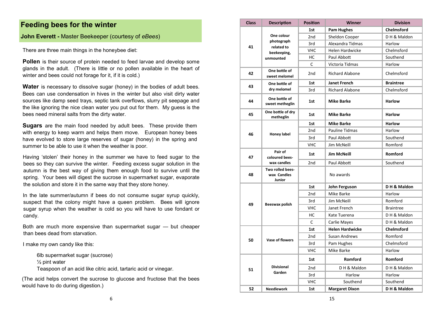## **Feeding bees for the winter**

#### **John Everett -** Master Beekeeper (courtesy of *eBees* )

There are three main things in the honeybee diet:

**Pollen** is their source of protein needed to feed larvae and develop some glands in the adult. (There is little or no pollen available in the heart of winter and bees could not forage for it, if it is cold.)

**Water** is necessary to dissolve sugar (honey) in the bodies of adult bees. Bees can use condensation in hives in the winter but also visit dirty water sources like damp seed trays, septic tank overflows, slurry pit seepage and the like ignoring the nice clean water you put out for them. My guess is the bees need mineral salts from the dirty water.

**Sugars** are the main food needed by adult bees. These provide them with energy to keep warm and helps them move. European honey bees have evolved to store large reserves of sugar (honey) in the spring and summer to be able to use it when the weather is poor.

Having 'stolen' their honey in the summer we have to feed sugar to the bees so they can survive the winter. Feeding excess sugar solution in the autumn is the best way of giving them enough food to survive until the spring. Your bees will digest the sucrose in supermarket sugar, evaporate the solution and store it in the same way that they store honey.

In the late summer/autumn if bees do not consume sugar syrup quickly, suspect that the colony might have a queen problem. Bees will ignore sugar syrup when the weather is cold so you will have to use fondant or candy.

Both are much more expensive than supermarket sugar — but cheaper than bees dead from starvation.

I make my own candy like this:

6lb supermarket sugar (sucrose) ½ pint water Teaspoon of an acid like citric acid, tartaric acid or vinegar.

(The acid helps convert the sucrose to glucose and fructose that the bees would have to do during digestion.)

| <b>Class</b> | <b>Description</b>                        | <b>Position</b> | <b>Winner</b>          | <b>Division</b>   |
|--------------|-------------------------------------------|-----------------|------------------------|-------------------|
|              |                                           | 1st             | <b>Pam Hughes</b>      | <b>Chelmsford</b> |
|              | One colour                                | 2 <sub>nd</sub> | Sheldon Cooper         | DH & Maldon       |
| 41           | photograph                                | 3rd             | Alexandra Tidmas       | Harlow            |
|              | related to<br>beekeeping,                 | <b>VHC</b>      | <b>Helen Hardwicke</b> | Chelmsford        |
|              | unmounted                                 | НC              | Paul Abbott            | Southend          |
|              |                                           | C               | Victoria Tidmas        | Harlow            |
| 42           | One bottle of<br>sweet melomel            | 2nd             | <b>Richard Alabone</b> | Chelmsford        |
| 43           | One bottle of                             | 1st             | <b>Janet French</b>    | <b>Braintree</b>  |
|              | dry melomel                               | 3rd             | <b>Richard Alabone</b> | Chelmsford        |
| 44           | One bottle of<br>sweet metheglin          | 1st             | <b>Mike Barke</b>      | <b>Harlow</b>     |
| 45           | One bottle of dry<br>metheglin            | 1st             | <b>Mike Barke</b>      | <b>Harlow</b>     |
|              |                                           | 1st             | <b>Mike Barke</b>      | <b>Harlow</b>     |
| 46           |                                           | 2nd             | <b>Pauline Tidmas</b>  | Harlow            |
| Honey label  | 3rd                                       | Paul Abbott     | Southend               |                   |
|              |                                           | <b>VHC</b>      | Jim McNeill            | Romford           |
| 47           | Pair of<br>coloured bees-                 | 1st             | <b>Jim McNeill</b>     | Romford           |
|              | wax candles                               | 2nd             | Paul Abbott            | Southend          |
| 48           | Two rolled bees-<br>wax Candles<br>Junior |                 | No awards              |                   |
|              |                                           | 1st             | John Ferguson          | D H & Maldon      |
|              |                                           | 2nd             | Mike Barke             | Harlow            |
|              |                                           | 3rd             | Jim McNeill            | Romford           |
| 49           | Beeswax polish                            | <b>VHC</b>      | Janet French           | <b>Braintree</b>  |
|              |                                           | нc              | Kate Tuerena           | DH & Maldon       |
|              |                                           | C               | Carlie Mayes           | DH & Maldon       |
|              |                                           | 1st             | <b>Helen Hardwicke</b> | <b>Chelmsford</b> |
|              |                                           | 2 <sub>nd</sub> | <b>Susan Andrews</b>   | Romford           |
| 50           | <b>Vase of flowers</b>                    | 3rd             | Pam Hughes             | Chelmsford        |
|              |                                           | <b>VHC</b>      | Mike Barke             | Harlow            |
|              |                                           | 1st             | Romford                | Romford           |
| 51           | <b>Divisional</b>                         | 2nd             | DH & Maldon            | DH & Maldon       |
|              | Garden                                    | 3rd             | Harlow                 | Harlow            |
|              |                                           | <b>VHC</b>      | Southend               | Southend          |
| 52           | <b>Needlework</b>                         | 1st             | <b>Margaret Dixon</b>  | DH & Maldon       |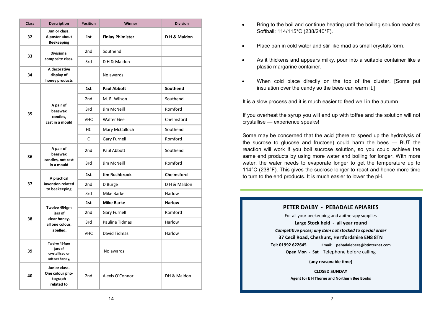| <b>Class</b> | <b>Description</b>                                            | <b>Position</b> | Winner                  | <b>Division</b>   |
|--------------|---------------------------------------------------------------|-----------------|-------------------------|-------------------|
| 32           | Junior class.<br>A poster about<br><b>Beekeeping</b>          | 1st             | <b>Finlay Phimister</b> | DH & Maldon       |
| 33           | <b>Divisional</b>                                             | 2 <sub>nd</sub> | Southend                |                   |
|              | composite class.                                              | 3rd             | DH & Maldon             |                   |
| 34           | A decorative<br>display of<br>honey products                  |                 | No awards               |                   |
|              |                                                               | 1st             | Paul Abbott             | Southend          |
|              |                                                               | 2 <sub>nd</sub> | M. R. Wilson            | Southend          |
| 35           | A pair of<br>beeswax                                          | 3rd             | <b>Jim McNeill</b>      | Romford           |
|              | candles,<br>cast in a mould                                   | <b>VHC</b>      | <b>Walter Gee</b>       | Chelmsford        |
|              |                                                               | НC              | Mary McCulloch          | Southend          |
|              |                                                               | C               | <b>Gary Furnell</b>     | Romford           |
| 36           | A pair of<br>beeswax                                          | 2 <sub>nd</sub> | Paul Abbott             | Southend          |
|              | candles, not cast<br>in a mould                               | 3rd             | Jim McNeill             | Romford           |
|              | A practical                                                   | 1st             | <b>Jim Rushbrook</b>    | <b>Chelmsford</b> |
| 37           | invention related                                             | 2 <sub>nd</sub> | D Burge                 | DH & Maldon       |
|              | to beekeeping                                                 | 3rd             | Mike Barke              | Harlow            |
|              | Twelve 454gm                                                  | 1st             | <b>Mike Barke</b>       | <b>Harlow</b>     |
|              | jars of                                                       | 2 <sub>nd</sub> | <b>Gary Furnell</b>     | Romford           |
| 38           | clear honey,<br>all one colour,                               | 3rd             | Pauline Tidmas          | Harlow            |
|              | labelled.                                                     | <b>VHC</b>      | David Tidmas            | Harlow            |
| 39           | Twelve 454gm<br>jars of<br>crystallised or<br>soft set honey, |                 | No awards               |                   |
| 40           | Junior class.<br>One colour pho-<br>tograph<br>related to     | 2nd             | Alexis O'Connor         | DH & Maldon       |

- Bring to the boil and continue heating until the boiling solution reaches Softball: 114/115°C (238/240°F).
- Place pan in cold water and stir like mad as small crystals form.
- As it thickens and appears milky, pour into a suitable container like a plastic margarine container.
- When cold place directly on the top of the cluster. [Some put insulation over the candy so the bees can warm it.]

It is a slow process and it is much easier to feed well in the autumn.

If you overheat the syrup you will end up with toffee and the solution will not crystallise — experience speaks!

Some may be concerned that the acid (there to speed up the hydrolysis of the sucrose to glucose and fructose) could harm the bees — BUT the reaction will work if you boil sucrose solution, so you could achieve the same end products by using more water and boiling for longer. With more water, the water needs to evaporate longer to get the temperature up to 114°C (238°F). This gives the sucrose longer to react and hence more time to turn to the end products. It is much easier to lower the pH.

#### **PETER DALBY - PEBADALE APIARIES**

For all your beekeeping and apitherapy supplies

**Large Stock held - all year round**

*Competitive prices; any item not stocked to special order*

**37 Cecil Road, Cheshunt, Hertfordshire EN8 8TN**

**Tel: 01992 622645 Email: pebadalebees@btinternet.com**

**Open Mon - Sat** Telephone before calling

**(any reasonable time)**

**CLOSED SUNDAY Agent for E H Thorne and Northern Bee Books**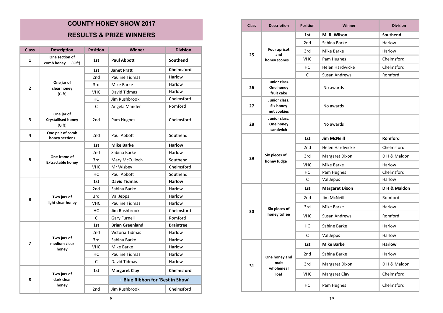## **COUNTY HONEY SHOW 2017 RESULTS & PRIZE WINNERS**

| <b>Class</b> | <b>Description</b>                                                                                                                                         | <b>Position</b> | <b>Winner</b>                    | <b>Division</b>   |
|--------------|------------------------------------------------------------------------------------------------------------------------------------------------------------|-----------------|----------------------------------|-------------------|
| 1            | One section of<br>comb honey<br>(Gift)                                                                                                                     | 1st             | Paul Abbott                      | Southend          |
|              |                                                                                                                                                            | 1st             | Janet Pratt                      | <b>Chelmsford</b> |
|              | One jar of<br>clear honey<br>(Gift)                                                                                                                        | 2 <sub>nd</sub> | Pauline Tidmas                   | Harlow            |
| 2            |                                                                                                                                                            | 3rd             | Mike Barke                       | Harlow            |
|              |                                                                                                                                                            | <b>VHC</b>      | David Tidmas                     | Harlow            |
|              |                                                                                                                                                            | НC              | Jim Rushbrook                    | Chelmsford        |
|              |                                                                                                                                                            | C               | Angela Mander                    | Romford           |
| 3            | One jar of<br><b>Crystallised honey</b><br>(Gift)                                                                                                          | 2nd             | Pam Hughes                       | Chelmsford        |
| 4            | One pair of comb<br>honey sections                                                                                                                         | 2nd             | Paul Abbott                      | Southend          |
|              | One frame of<br><b>Extractable honey</b><br>Two jars of<br>light clear honey<br>Two jars of<br>medium clear<br>honey<br>Two jars of<br>dark clear<br>honey | 1st             | <b>Mike Barke</b>                | <b>Harlow</b>     |
|              |                                                                                                                                                            | 2 <sub>nd</sub> | Sabina Barke                     | Harlow            |
| 5            |                                                                                                                                                            | 3rd             | Mary McCulloch                   | Southend          |
|              |                                                                                                                                                            | <b>VHC</b>      | Mr Wisbey                        | Chelmsford        |
|              |                                                                                                                                                            | HC              | Paul Abbott                      | Southend          |
|              |                                                                                                                                                            | 1st             | <b>David Tidmas</b>              | <b>Harlow</b>     |
|              |                                                                                                                                                            | 2 <sub>nd</sub> | Sabina Barke                     | Harlow            |
| 6            |                                                                                                                                                            | 3rd             | Val Jepps                        | Harlow            |
|              |                                                                                                                                                            | <b>VHC</b>      | Pauline Tidmas                   | Harlow            |
|              |                                                                                                                                                            | HC              | Jim Rushbrook                    | Chelmsford        |
|              |                                                                                                                                                            | C               | <b>Gary Furnell</b>              | Romford           |
|              |                                                                                                                                                            | 1st             | <b>Brian Greenland</b>           | <b>Braintree</b>  |
|              |                                                                                                                                                            | 2 <sub>nd</sub> | Victoria Tidmas                  | Harlow            |
| 7            |                                                                                                                                                            | 3rd             | Sabina Barke                     | Harlow            |
|              |                                                                                                                                                            | <b>VHC</b>      | Mike Barke                       | Harlow            |
|              |                                                                                                                                                            | НC              | <b>Pauline Tidmas</b>            | Harlow            |
|              |                                                                                                                                                            | C               | David Tidmas                     | Harlow            |
|              |                                                                                                                                                            | 1st             | <b>Margaret Clay</b>             | <b>Chelmsford</b> |
| 8            |                                                                                                                                                            |                 | + Blue Ribbon for 'Best in Show' |                   |
|              |                                                                                                                                                            | 2nd             | Jim Rushbrook                    | Chelmsford        |

| <b>Class</b> | <b>Description</b>                        | <b>Position</b> | Winner                 | <b>Division</b> |
|--------------|-------------------------------------------|-----------------|------------------------|-----------------|
|              |                                           | 1st             | M. R. Wilson           | Southend        |
|              |                                           | 2 <sub>nd</sub> | Sabina Barke           | Harlow          |
| 25           | Four apricot<br>and                       | 3rd             | Mike Barke             | Harlow          |
|              | honey scones                              | <b>VHC</b>      | Pam Hughes             | Chelmsford      |
|              |                                           | HC              | Helen Hardwicke        | Chelmsford      |
|              |                                           | C               | <b>Susan Andrews</b>   | Romford         |
| 26           | Junior class.<br>One honey<br>fruit cake  |                 | No awards              |                 |
| 27           | Junior class.<br>Six honey<br>nut cookies |                 | No awards              |                 |
| 28           | Junior class.<br>One honey<br>sandwich    |                 | No awards              |                 |
|              |                                           | 1st             | <b>Jim McNeill</b>     | Romford         |
|              | Six pieces of<br>honey fudge              | 2 <sub>nd</sub> | <b>Helen Hardwicke</b> | Chelmsford      |
| 29           |                                           | 3rd             | Margaret Dixon         | DH & Maldon     |
|              |                                           | <b>VHC</b>      | Mike Barke             | Harlow          |
|              |                                           | HC              | Pam Hughes             | Chelmsford      |
|              |                                           | C               | Val Jepps              | Harlow          |
|              |                                           | 1st             | <b>Margaret Dixon</b>  | DH & Maldon     |
|              |                                           | 2 <sub>nd</sub> | Jim McNeill            | Romford         |
|              | Six pieces of                             | 3rd             | Mike Barke             | Harlow          |
| 30           | honey toffee                              | <b>VHC</b>      | Susan Andrews          | Romford         |
|              |                                           | НC              | Sabine Barke           | Harlow          |
|              |                                           | С               | Val Jepps              | Harlow          |
|              |                                           | 1st             | <b>Mike Barke</b>      | <b>Harlow</b>   |
|              | One honey and                             | 2nd             | Sabina Barke           | Harlow          |
| 31           | malt<br>wholemeal                         | 3rd             | Margaret Dixon         | DH & Maldon     |
|              | loaf                                      | <b>VHC</b>      | Margaret Clay          | Chelmsford      |
|              |                                           | НC              | Pam Hughes             | Chelmsford      |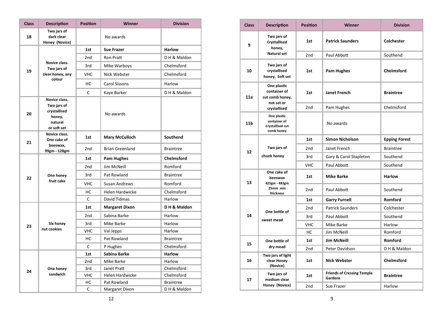| <b>Class</b> | <b>Description</b>                                              | <b>Position</b> | <b>Winner</b>          | <b>Division</b>   |
|--------------|-----------------------------------------------------------------|-----------------|------------------------|-------------------|
| 18           | Two jars of<br>dark clear<br>Honey (Novice)                     |                 | No awards              |                   |
|              | Novice class.                                                   | 1st             | <b>Sue Frazer</b>      | <b>Harlow</b>     |
|              |                                                                 | 2 <sub>nd</sub> | <b>Ron Pratt</b>       | DH & Maldon       |
|              | Two jars of                                                     | 3rd             | Mike Warboys           | Chelmsford        |
| 19           | clear honey, any                                                | <b>VHC</b>      | Nick Webster           | Chelmsford        |
|              | colour                                                          | HC              | <b>Carol Sissons</b>   | Harlow            |
|              | Novice class.                                                   | C               | Kaye Barker            | DH & Maldon       |
| 20           | Two jars of<br>crystallised<br>honey,<br>natural<br>or soft set |                 | No awards              |                   |
| 21           | Novice class.<br>One cake of                                    | 1st             | <b>Mary McCulloch</b>  | Southend          |
|              | beeswax,<br>99gm - 128gm                                        | 2 <sub>nd</sub> | <b>Brian Greenland</b> | <b>Braintree</b>  |
| 22           | One honey                                                       | 1st             | <b>Pam Hughes</b>      | <b>Chelmsford</b> |
|              |                                                                 | 2nd             | Jim McNeill            | Romford           |
|              |                                                                 | 3rd             | Pat Rowland            | <b>Braintree</b>  |
|              | fruit cake                                                      | <b>VHC</b>      | <b>Susan Andrews</b>   | Romford           |
|              |                                                                 | НC              | <b>Helen Hardwicke</b> | Chelmsford        |
|              |                                                                 | C               | David Tidmas           | Harlow            |
|              |                                                                 | 1st             | <b>Margaret Dixon</b>  | DH & Maldon       |
|              | Six honey                                                       | 2 <sub>nd</sub> | Sabina Barke           | Harlow            |
| 23           |                                                                 | 3rd             | Mike Barke             | Harlow            |
|              | nut cookies                                                     | <b>VHC</b>      | Val Jepps              | Harlow            |
|              |                                                                 | HC              | Pat Rowland            | <b>Braintree</b>  |
|              |                                                                 | C               | P Hughes               | Chelmsford        |
|              |                                                                 | 1st             | Sabina Barke           | <b>Harlow</b>     |
|              |                                                                 | 2nd             | Mike Barke             | Harlow            |
| 24           | One honey                                                       | 3rd             | Janet Pratt            | Chelmsford        |
|              | sandwich                                                        | <b>VHC</b>      | Helen Hardwicke        | Chelmsford        |
|              |                                                                 | HC              | Pat Rowland            | <b>Braintree</b>  |
|              |                                                                 | C               | Margaret Dixon         | DH & Maldon       |

| <b>Class</b>    | <b>Description</b>                                            | <b>Position</b> | <b>Winner</b>                                | <b>Division</b>      |
|-----------------|---------------------------------------------------------------|-----------------|----------------------------------------------|----------------------|
| 9               | Two jars of<br><b>Crystallised</b><br>honey,                  | 1st             | <b>Patrick Saunders</b>                      | <b>Colchester</b>    |
|                 | <b>Natural set</b>                                            | 2nd             | Paul Abbott                                  | Southend             |
| 10              | Two jars of<br>crystallised<br>honey, Soft set                | 1st             | <b>Pam Hughes</b>                            | <b>Chelmsford</b>    |
| 11a             | One plastic<br>container of<br>cut comb honey,<br>not set or  | 1st             | <b>Janet French</b>                          | <b>Braintree</b>     |
|                 | crystallised                                                  | 2nd             | Pam Hughes                                   | Chelmsford           |
| 11 <sub>b</sub> | One plastic<br>container of<br>Crystallised cut<br>comb honey |                 | No awards                                    |                      |
|                 |                                                               | 1st             | <b>Simon Nicholson</b>                       | <b>Epping Forest</b> |
| 12              | Two jars of                                                   | 2nd             | Janet French                                 | <b>Braintree</b>     |
|                 | chunk honey                                                   | 3rd             | Gary & Carol Stapleton                       | Southend             |
|                 |                                                               | <b>VHC</b>      | Paul Abbott                                  | Southend             |
| 13              | One cake of<br>beeswax<br>425gm - 482gm                       | 1st             | <b>Mike Barke</b>                            | <b>Harlow</b>        |
|                 | 25mm min<br>thickness                                         | 2nd             | Paul Abbott                                  | Southend             |
|                 |                                                               | 1st             | <b>Garry Furnell</b>                         | Romford              |
|                 | One bottle of                                                 | 2nd             | <b>Patrick Saunders</b>                      | Colchester           |
| 14              | sweet mead                                                    | 3rd             | Paul Abbott                                  | Southend             |
|                 |                                                               | <b>VHC</b>      | Mike Barke                                   | Harlow               |
|                 |                                                               | HC              | Jim McNeill                                  | Romford              |
| 15              | One bottle of                                                 | 1st             | <b>Jim McNeill</b>                           | Romford              |
|                 | dry mead                                                      | 2nd             | Peter Davidson                               | DH & Maldon          |
| 16              | Two jars of light<br>clear Honey<br>(Novice)                  | 1st             | <b>Nick Webster</b>                          | <b>Chelmsford</b>    |
| 17              | Two jars of<br>medium clear                                   | 1st             | <b>Friends of Cressing Temple</b><br>Gardens | <b>Braintree</b>     |
|                 | Honey (Novice)                                                | 2 <sub>nd</sub> | Sue Frazer                                   | Harlow               |